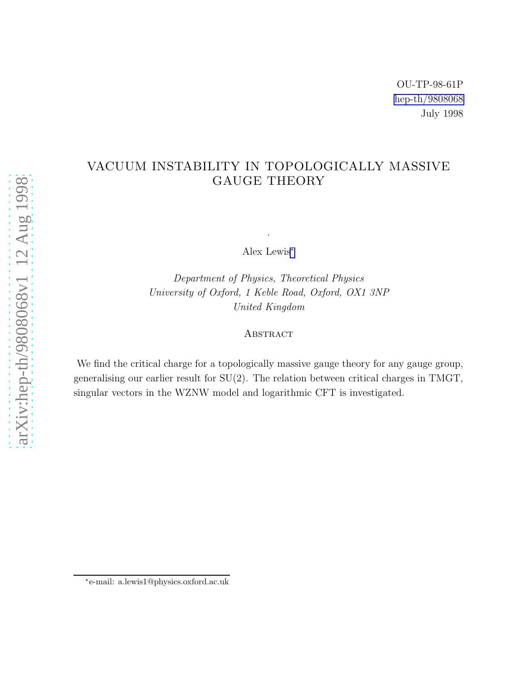#### VACUUM INSTABILITY IN TOPOLOGICALLY MASSIVE GAUGE THEORY

Alex Lewis<sup>∗</sup>

.

Department of Physics, Theoretical Physics University of Oxford, 1 Keble Road, Oxford, OX1 3NP United Kingdom

#### **ABSTRACT**

We find the critical charge for a topologically massive gauge theory for any gauge group, generalising our earlier result for  $SU(2)$ . The relation between critical charges in TMGT, singular vectors in the WZNW model and logarithmic CFT is investigated.

<sup>∗</sup> e-mail: a.lewis1@physics.oxford.ac.uk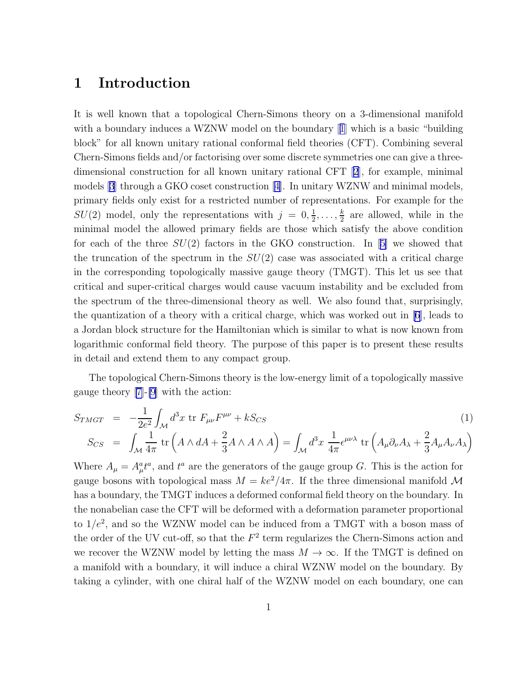### 1 Introduction

It is well known that a topological Chern-Simons theory on a 3-dimensional manifold witha boundary induces a WZNW model on the boundary [[1](#page-13-0)] which is a basic "building" block" for all known unitary rational conformal field theories (CFT). Combining several Chern-Simons fields and/or factorising over some discrete symmetries one can give a threedimensional construction for all known unitary rational CFT[[2](#page-13-0)], for example, minimal models[[3](#page-13-0)] through a GKO coset construction[[4\]](#page-13-0). In unitary WZNW and minimal models, primary fields only exist for a restricted number of representations. For example for the  $SU(2)$  model, only the representations with  $j = 0, \frac{1}{2}$  $\frac{1}{2}, \ldots, \frac{k}{2}$  $\frac{k}{2}$  are allowed, while in the minimal model the allowed primary fields are those which satisfy the above condition foreach of the three  $SU(2)$  factors in the GKO construction. In [[5\]](#page-13-0) we showed that the truncation of the spectrum in the  $SU(2)$  case was associated with a critical charge in the corresponding topologically massive gauge theory (TMGT). This let us see that critical and super-critical charges would cause vacuum instability and be excluded from the spectrum of the three-dimensional theory as well. We also found that, surprisingly, the quantization of a theory with a critical charge, which was worked out in [\[6](#page-13-0)], leads to a Jordan block structure for the Hamiltonian which is similar to what is now known from logarithmic conformal field theory. The purpose of this paper is to present these results in detail and extend them to any compact group.

The topological Chern-Simons theory is the low-energy limit of a topologically massive gauge theory [\[7\]](#page-13-0)-[\[9](#page-13-0)] with the action:

$$
S_{TMGT} = -\frac{1}{2e^2} \int_{\mathcal{M}} d^3 x \text{ tr } F_{\mu\nu} F^{\mu\nu} + k S_{CS}
$$
\n
$$
S_{CS} = \int_{\mathcal{M}} \frac{1}{4\pi} \text{ tr} \left( A \wedge dA + \frac{2}{3} A \wedge A \wedge A \right) = \int_{\mathcal{M}} d^3 x \frac{1}{4\pi} \epsilon^{\mu\nu\lambda} \text{ tr} \left( A_{\mu} \partial_{\nu} A_{\lambda} + \frac{2}{3} A_{\mu} A_{\nu} A_{\lambda} \right)
$$
\n(1)

Where  $A_{\mu} = A_{\mu}^{a} t^{a}$ , and  $t^{a}$  are the generators of the gauge group G. This is the action for gauge bosons with topological mass  $M = ke^2/4\pi$ . If the three dimensional manifold M has a boundary, the TMGT induces a deformed conformal field theory on the boundary. In the nonabelian case the CFT will be deformed with a deformation parameter proportional to  $1/e^2$ , and so the WZNW model can be induced from a TMGT with a boson mass of the order of the UV cut-off, so that the  $F<sup>2</sup>$  term regularizes the Chern-Simons action and we recover the WZNW model by letting the mass  $M \to \infty$ . If the TMGT is defined on a manifold with a boundary, it will induce a chiral WZNW model on the boundary. By taking a cylinder, with one chiral half of the WZNW model on each boundary, one can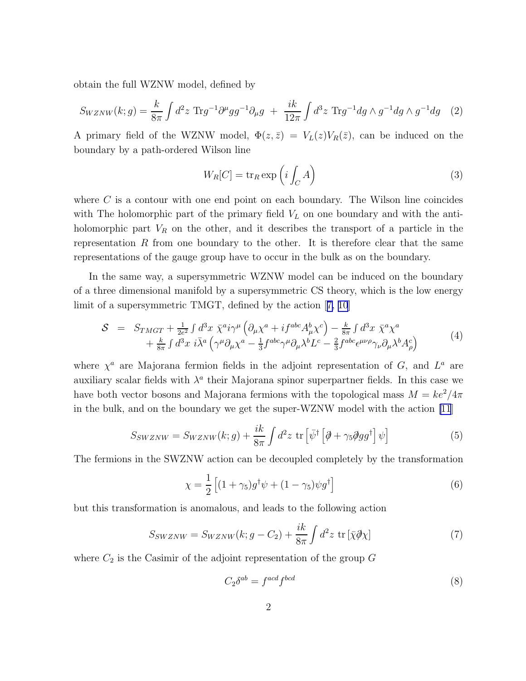obtain the full WZNW model, defined by

$$
S_{WZNW}(k;g) = \frac{k}{8\pi} \int d^2 z \ \text{Tr} g^{-1} \partial^{\mu} g g^{-1} \partial_{\mu} g + \frac{ik}{12\pi} \int d^3 z \ \text{Tr} g^{-1} dg \wedge g^{-1} dg \wedge g^{-1} dg \tag{2}
$$

A primary field of the WZNW model,  $\Phi(z,\bar{z}) = V_L(z)V_R(\bar{z})$ , can be induced on the boundary by a path-ordered Wilson line

$$
W_R[C] = \text{tr}_R \exp\left(i \int_C A\right) \tag{3}
$$

where  $C$  is a contour with one end point on each boundary. The Wilson line coincides with The holomorphic part of the primary field  $V<sub>L</sub>$  on one boundary and with the antiholomorphic part  $V_R$  on the other, and it describes the transport of a particle in the representation  $R$  from one boundary to the other. It is therefore clear that the same representations of the gauge group have to occur in the bulk as on the boundary.

In the same way, a supersymmetric WZNW model can be induced on the boundary of a three dimensional manifold by a supersymmetric CS theory, which is the low energy limit of a supersymmetric TMGT, defined by the action[[7, 10](#page-13-0)]

$$
S = S_{TMGT} + \frac{1}{2e^2} \int d^3x \ \bar{\chi}^a i\gamma^\mu \left( \partial_\mu \chi^a + i f^{abc} A^b_\mu \chi^c \right) - \frac{k}{8\pi} \int d^3x \ \bar{\chi}^a \chi^a + \frac{k}{8\pi} \int d^3x \ i\bar{\lambda}^a \left( \gamma^\mu \partial_\mu \chi^a - \frac{1}{3} f^{abc} \gamma^\mu \partial_\mu \lambda^b L^c - \frac{2}{3} f^{abc} \epsilon^{\mu\nu\rho} \gamma_\nu \partial_\mu \lambda^b A^c_\rho \right)
$$
(4)

where  $\chi^a$  are Majorana fermion fields in the adjoint representation of G, and  $L^a$  are auxiliary scalar fields with  $\lambda^a$  their Majorana spinor superpartner fields. In this case we have both vector bosons and Majorana fermions with the topological mass  $M = ke^2/4\pi$ in the bulk, and on the boundary we get the super-WZNW model with the action [\[11](#page-13-0)]

$$
S_{SWZNW} = S_{WZNW}(k; g) + \frac{ik}{8\pi} \int d^2 z \, \text{tr}\left[\bar{\psi}^\dagger \left[\partial + \gamma_5 \partial g g^\dagger\right] \psi\right] \tag{5}
$$

The fermions in the SWZNW action can be decoupled completely by the transformation

$$
\chi = \frac{1}{2} \left[ (1 + \gamma_5) g^{\dagger} \psi + (1 - \gamma_5) \psi g^{\dagger} \right]
$$
 (6)

but this transformation is anomalous, and leads to the following action

$$
S_{SWZNW} = S_{WZNW}(k; g - C_2) + \frac{ik}{8\pi} \int d^2 z \, \text{tr}\left[\bar{\chi}\partial\!\!\!/x\right] \tag{7}
$$

where  $C_2$  is the Casimir of the adjoint representation of the group  $G$ 

$$
C_2 \delta^{ab} = f^{acd} f^{bcd} \tag{8}
$$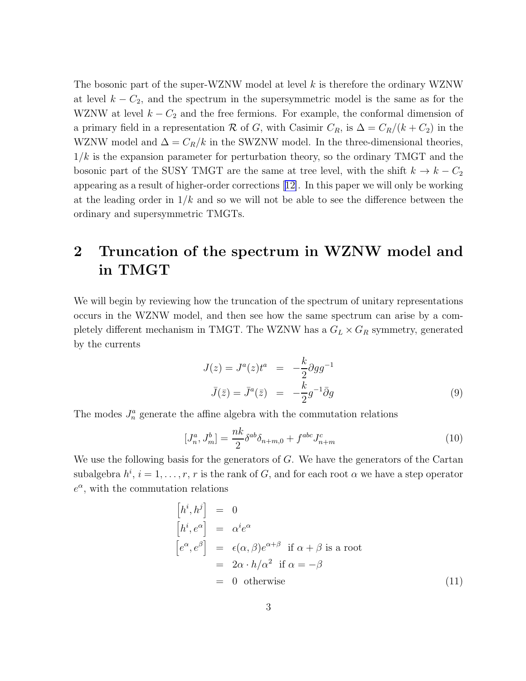<span id="page-3-0"></span>The bosonic part of the super-WZNW model at level  $k$  is therefore the ordinary WZNW at level  $k - C_2$ , and the spectrum in the supersymmetric model is the same as for the WZNW at level  $k - C_2$  and the free fermions. For example, the conformal dimension of a primary field in a representation R of G, with Casimir  $C_R$ , is  $\Delta = C_R/(k+C_2)$  in the WZNW model and  $\Delta = C_R/k$  in the SWZNW model. In the three-dimensional theories,  $1/k$  is the expansion parameter for perturbation theory, so the ordinary TMGT and the bosonic part of the SUSY TMGT are the same at tree level, with the shift  $k \to k - C_2$ appearing as a result of higher-order corrections[[12\]](#page-13-0). In this paper we will only be working at the leading order in  $1/k$  and so we will not be able to see the difference between the ordinary and supersymmetric TMGTs.

# 2 Truncation of the spectrum in WZNW model and in TMGT

We will begin by reviewing how the truncation of the spectrum of unitary representations occurs in the WZNW model, and then see how the same spectrum can arise by a completely different mechanism in TMGT. The WZNW has a  $G_L \times G_R$  symmetry, generated by the currents

$$
J(z) = Ja(z)ta = -\frac{k}{2}\partial g g^{-1}
$$
  

$$
\bar{J}(\bar{z}) = \bar{J}^{a}(\bar{z}) = -\frac{k}{2}g^{-1}\bar{\partial}g
$$
 (9)

The modes  $J_n^a$  generate the affine algebra with the commutation relations

$$
[J_n^a, J_m^b] = \frac{nk}{2} \delta^{ab} \delta_{n+m,0} + f^{abc} J_{n+m}^c
$$
 (10)

We use the following basis for the generators of  $G$ . We have the generators of the Cartan subalgebra  $h^i$ ,  $i = 1, \ldots, r$ , r is the rank of G, and for each root  $\alpha$  we have a step operator  $e^{\alpha}$ , with the commutation relations

$$
\begin{aligned}\n\left[h^{i}, h^{j}\right] &= 0\\
\left[h^{i}, e^{\alpha}\right] &= \alpha^{i} e^{\alpha}\\
\left[e^{\alpha}, e^{\beta}\right] &= \epsilon(\alpha, \beta)e^{\alpha+\beta} \text{ if } \alpha + \beta \text{ is a root} \\
&= 2\alpha \cdot h/\alpha^{2} \text{ if } \alpha = -\beta\\
&= 0 \text{ otherwise}\n\end{aligned} \tag{11}
$$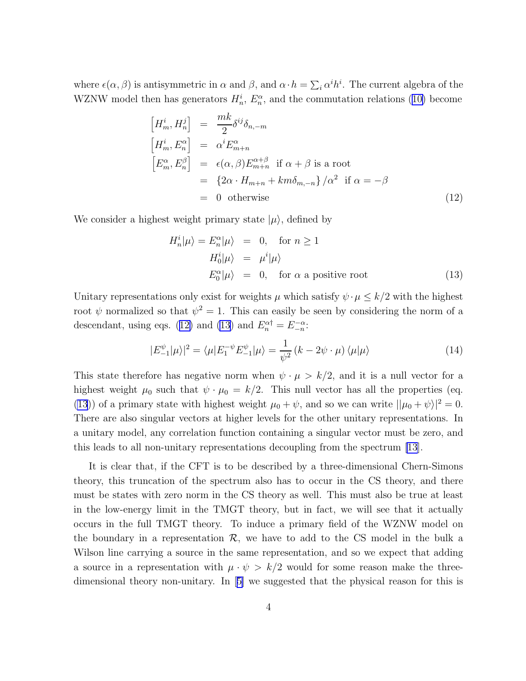where  $\epsilon(\alpha, \beta)$  is antisymmetric in  $\alpha$  and  $\beta$ , and  $\alpha \cdot h = \sum_i \alpha^i h^i$ . The current algebra of the WZNWmodel then has generators  $H_n^i$ ,  $E_n^{\alpha}$ , and the commutation relations ([10\)](#page-3-0) become

$$
\begin{aligned}\n\left[H_m^i, H_n^j\right] &= \frac{mk}{2} \delta^{ij} \delta_{n,-m} \\
\left[H_m^i, E_n^\alpha\right] &= \alpha^i E_{m+n}^\alpha \\
\left[E_m^\alpha, E_n^\beta\right] &= \epsilon(\alpha, \beta) E_{m+n}^{\alpha+\beta} \text{ if } \alpha + \beta \text{ is a root} \\
&= \left\{2\alpha \cdot H_{m+n} + km \delta_{m,-n}\right\} / \alpha^2 \text{ if } \alpha = -\beta \\
&= 0 \text{ otherwise}\n\end{aligned} \tag{12}
$$

We consider a highest weight primary state  $|\mu\rangle$ , defined by

$$
H_n^i |\mu\rangle = E_n^{\alpha} |\mu\rangle = 0, \text{ for } n \ge 1
$$
  
\n
$$
H_0^i |\mu\rangle = \mu^i |\mu\rangle
$$
  
\n
$$
E_0^{\alpha} |\mu\rangle = 0, \text{ for } \alpha \text{ a positive root}
$$
 (13)

Unitary representations only exist for weights  $\mu$  which satisfy  $\psi \cdot \mu \leq k/2$  with the highest root  $\psi$  normalized so that  $\psi^2 = 1$ . This can easily be seen by considering the norm of a descendant, using eqs. (12) and (13) and  $E_n^{\alpha\dagger} = E_{-n}^{-\alpha}$ :

$$
|E_{-1}^{\psi}|\mu\rangle|^2 = \langle \mu | E_1^{-\psi} E_{-1}^{\psi} | \mu \rangle = \frac{1}{\psi^2} \left( k - 2\psi \cdot \mu \right) \langle \mu | \mu \rangle \tag{14}
$$

This state therefore has negative norm when  $\psi \cdot \mu > k/2$ , and it is a null vector for a highest weight  $\mu_0$  such that  $\psi \cdot \mu_0 = k/2$ . This null vector has all the properties (eq. (13)) of a primary state with highest weight  $\mu_0 + \psi$ , and so we can write  $||\mu_0 + \psi||^2 = 0$ . There are also singular vectors at higher levels for the other unitary representations. In a unitary model, any correlation function containing a singular vector must be zero, and this leads to all non-unitary representations decoupling from the spectrum [\[13](#page-13-0)].

It is clear that, if the CFT is to be described by a three-dimensional Chern-Simons theory, this truncation of the spectrum also has to occur in the CS theory, and there must be states with zero norm in the CS theory as well. This must also be true at least in the low-energy limit in the TMGT theory, but in fact, we will see that it actually occurs in the full TMGT theory. To induce a primary field of the WZNW model on the boundary in a representation  $\mathcal{R}$ , we have to add to the CS model in the bulk a Wilson line carrying a source in the same representation, and so we expect that adding a source in a representation with  $\mu \cdot \psi > k/2$  would for some reason make the threedimensional theory non-unitary. In[[5\]](#page-13-0) we suggested that the physical reason for this is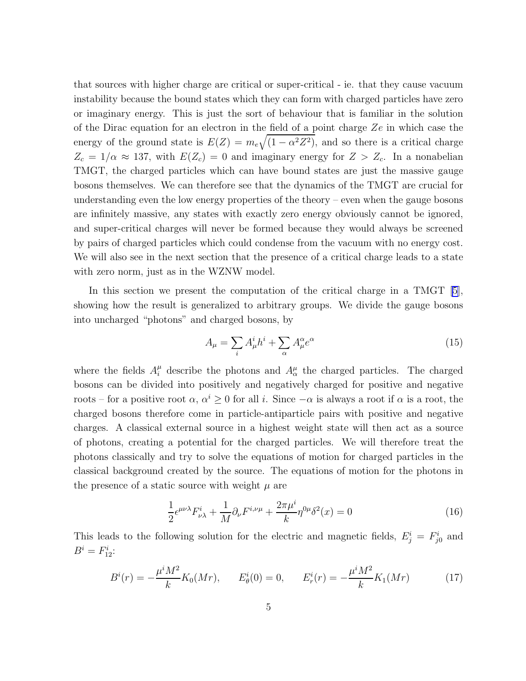<span id="page-5-0"></span>that sources with higher charge are critical or super-critical - ie. that they cause vacuum instability because the bound states which they can form with charged particles have zero or imaginary energy. This is just the sort of behaviour that is familiar in the solution of the Dirac equation for an electron in the field of a point charge  $Ze$  in which case the energy of the ground state is  $E(Z) = m_e \sqrt{(1 - \alpha^2 Z^2)}$ , and so there is a critical charge  $Z_c = 1/\alpha \approx 137$ , with  $E(Z_c) = 0$  and imaginary energy for  $Z > Z_c$ . In a nonabelian TMGT, the charged particles which can have bound states are just the massive gauge bosons themselves. We can therefore see that the dynamics of the TMGT are crucial for understanding even the low energy properties of the theory – even when the gauge bosons are infinitely massive, any states with exactly zero energy obviously cannot be ignored, and super-critical charges will never be formed because they would always be screened by pairs of charged particles which could condense from the vacuum with no energy cost. We will also see in the next section that the presence of a critical charge leads to a state with zero norm, just as in the WZNW model.

In this section we present the computation of the critical charge in a TMGT [\[5\]](#page-13-0), showing how the result is generalized to arbitrary groups. We divide the gauge bosons into uncharged "photons" and charged bosons, by

$$
A_{\mu} = \sum_{i} A_{\mu}^{i} h^{i} + \sum_{\alpha} A_{\mu}^{\alpha} e^{\alpha} \tag{15}
$$

where the fields  $A_i^{\mu}$  describe the photons and  $A_{\alpha}^{\mu}$  the charged particles. The charged bosons can be divided into positively and negatively charged for positive and negative roots – for a positive root  $\alpha, \alpha^i \geq 0$  for all i. Since  $-\alpha$  is always a root if  $\alpha$  is a root, the charged bosons therefore come in particle-antiparticle pairs with positive and negative charges. A classical external source in a highest weight state will then act as a source of photons, creating a potential for the charged particles. We will therefore treat the photons classically and try to solve the equations of motion for charged particles in the classical background created by the source. The equations of motion for the photons in the presence of a static source with weight  $\mu$  are

$$
\frac{1}{2}\epsilon^{\mu\nu\lambda}F^i_{\nu\lambda} + \frac{1}{M}\partial_\nu F^{i,\nu\mu} + \frac{2\pi\mu^i}{k}\eta^{0\mu}\delta^2(x) = 0\tag{16}
$$

This leads to the following solution for the electric and magnetic fields,  $E_j^i = F_{j0}^i$  and  $B^i = F_{12}^i$ :

$$
B^{i}(r) = -\frac{\mu^{i} M^{2}}{k} K_{0}(Mr), \qquad E^{i}_{\theta}(0) = 0, \qquad E^{i}_{r}(r) = -\frac{\mu^{i} M^{2}}{k} K_{1}(Mr) \tag{17}
$$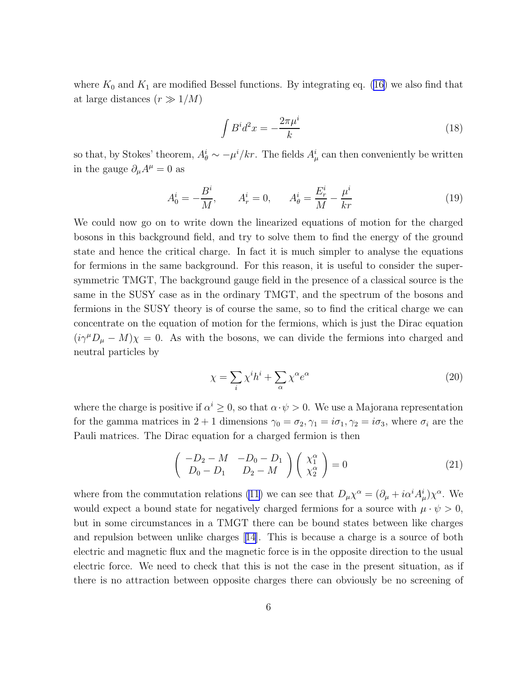<span id="page-6-0"></span>where  $K_0$  and  $K_1$  are modified Bessel functions. By integrating eq. [\(16](#page-5-0)) we also find that at large distances  $(r \gg 1/M)$ 

$$
\int B^i d^2x = -\frac{2\pi\mu^i}{k} \tag{18}
$$

so that, by Stokes' theorem,  $A^i_{\theta} \sim -\mu^i / kr$ . The fields  $A^i_{\mu}$  can then conveniently be written in the gauge  $\partial_{\mu}A^{\mu} = 0$  as

$$
A_0^i = -\frac{B^i}{M}, \qquad A_r^i = 0, \qquad A_\theta^i = \frac{E_r^i}{M} - \frac{\mu^i}{kr} \tag{19}
$$

We could now go on to write down the linearized equations of motion for the charged bosons in this background field, and try to solve them to find the energy of the ground state and hence the critical charge. In fact it is much simpler to analyse the equations for fermions in the same background. For this reason, it is useful to consider the supersymmetric TMGT, The background gauge field in the presence of a classical source is the same in the SUSY case as in the ordinary TMGT, and the spectrum of the bosons and fermions in the SUSY theory is of course the same, so to find the critical charge we can concentrate on the equation of motion for the fermions, which is just the Dirac equation  $(i\gamma^{\mu}D_{\mu} - M)\chi = 0$ . As with the bosons, we can divide the fermions into charged and neutral particles by

$$
\chi = \sum_{i} \chi^{i} h^{i} + \sum_{\alpha} \chi^{\alpha} e^{\alpha} \tag{20}
$$

where the charge is positive if  $\alpha^i \geq 0$ , so that  $\alpha \cdot \psi > 0$ . We use a Majorana representation for the gamma matrices in  $2 + 1$  dimensions  $\gamma_0 = \sigma_2, \gamma_1 = i\sigma_1, \gamma_2 = i\sigma_3$ , where  $\sigma_i$  are the Pauli matrices. The Dirac equation for a charged fermion is then

$$
\begin{pmatrix}\n-D_2 - M & -D_0 - D_1 \\
D_0 - D_1 & D_2 - M\n\end{pmatrix}\n\begin{pmatrix}\n\chi_1^{\alpha} \\
\chi_2^{\alpha}\n\end{pmatrix} = 0
$$
\n(21)

where from the commutation relations [\(11](#page-3-0)) we can see that  $D_{\mu} \chi^{\alpha} = (\partial_{\mu} + i \alpha^{i} A_{\mu}^{i}) \chi^{\alpha}$ . We would expect a bound state for negatively charged fermions for a source with  $\mu \cdot \psi > 0$ , but in some circumstances in a TMGT there can be bound states between like charges and repulsion between unlike charges[[14\]](#page-13-0). This is because a charge is a source of both electric and magnetic flux and the magnetic force is in the opposite direction to the usual electric force. We need to check that this is not the case in the present situation, as if there is no attraction between opposite charges there can obviously be no screening of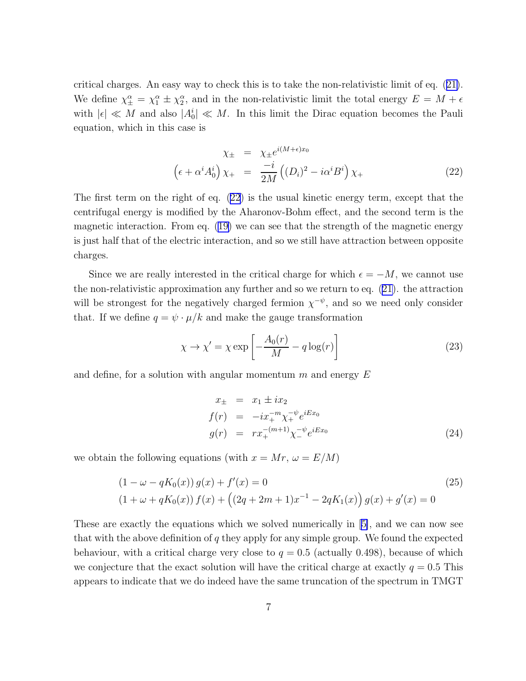critical charges. An easy way to check this is to take the non-relativistic limit of eq.([21\)](#page-6-0). We define  $\chi_{\pm}^{\alpha} = \chi_1^{\alpha} \pm \chi_2^{\alpha}$ , and in the non-relativistic limit the total energy  $E = M + \epsilon$ with  $|\epsilon| \ll M$  and also  $|A_0^i| \ll M$ . In this limit the Dirac equation becomes the Pauli equation, which in this case is

$$
\chi_{\pm} = \chi_{\pm} e^{i(M+\epsilon)x_0}
$$

$$
\left(\epsilon + \alpha^i A_0^i\right) \chi_{+} = \frac{-i}{2M} \left( (D_i)^2 - i \alpha^i B^i \right) \chi_{+}
$$
(22)

The first term on the right of eq. (22) is the usual kinetic energy term, except that the centrifugal energy is modified by the Aharonov-Bohm effect, and the second term is the magnetic interaction. From eq. [\(19\)](#page-6-0) we can see that the strength of the magnetic energy is just half that of the electric interaction, and so we still have attraction between opposite charges.

Since we are really interested in the critical charge for which  $\epsilon = -M$ , we cannot use the non-relativistic approximation any further and so we return to eq. [\(21\)](#page-6-0). the attraction will be strongest for the negatively charged fermion  $\chi^{-\psi}$ , and so we need only consider that. If we define  $q = \psi \cdot \mu / k$  and make the gauge transformation

$$
\chi \to \chi' = \chi \exp\left[-\frac{A_0(r)}{M} - q\log(r)\right]
$$
\n(23)

and define, for a solution with angular momentum  $m$  and energy  $E$ 

$$
x_{\pm} = x_1 \pm ix_2
$$
  
\n
$$
f(r) = -ix_{+}^{-m} \chi_{+}^{-\psi} e^{iEx_0}
$$
  
\n
$$
g(r) = rx_{+}^{-(m+1)} \chi_{-}^{-\psi} e^{iEx_0}
$$
\n(24)

we obtain the following equations (with  $x = Mr$ ,  $\omega = E/M$ )

$$
(1 - \omega - qK_0(x)) g(x) + f'(x) = 0
$$
  
(1 + \omega + qK\_0(x)) f(x) + ((2q + 2m + 1)x<sup>-1</sup> – 2qK<sub>1</sub>(x)) g(x) + g'(x) = 0 (25)

These are exactly the equations which we solved numerically in[[5\]](#page-13-0), and we can now see that with the above definition of  $q$  they apply for any simple group. We found the expected behaviour, with a critical charge very close to  $q = 0.5$  (actually 0.498), because of which we conjecture that the exact solution will have the critical charge at exactly  $q = 0.5$  This appears to indicate that we do indeed have the same truncation of the spectrum in TMGT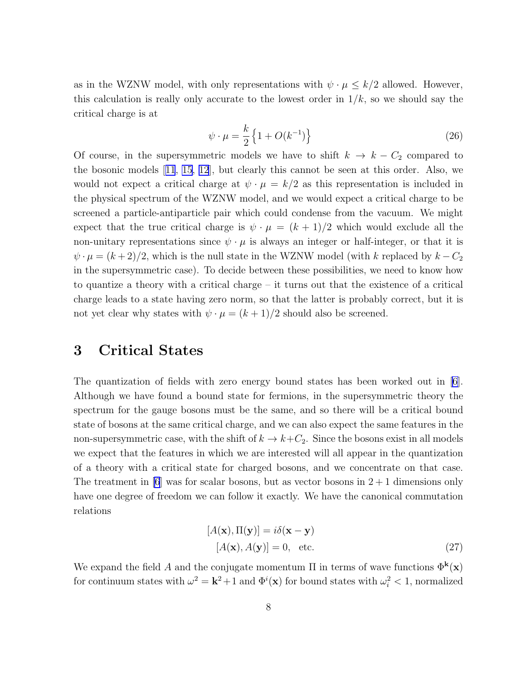<span id="page-8-0"></span>as in the WZNW model, with only representations with  $\psi \cdot \mu \leq k/2$  allowed. However, this calculation is really only accurate to the lowest order in  $1/k$ , so we should say the critical charge is at

$$
\psi \cdot \mu = \frac{k}{2} \left\{ 1 + O(k^{-1}) \right\} \tag{26}
$$

Of course, in the supersymmetric models we have to shift  $k \to k - C_2$  compared to the bosonic models[[11](#page-13-0), [15, 12](#page-13-0)], but clearly this cannot be seen at this order. Also, we would not expect a critical charge at  $\psi \cdot \mu = k/2$  as this representation is included in the physical spectrum of the WZNW model, and we would expect a critical charge to be screened a particle-antiparticle pair which could condense from the vacuum. We might expect that the true critical charge is  $\psi \cdot \mu = (k+1)/2$  which would exclude all the non-unitary representations since  $\psi \cdot \mu$  is always an integer or half-integer, or that it is  $\psi \cdot \mu = (k+2)/2$ , which is the null state in the WZNW model (with k replaced by  $k - C_2$ ) in the supersymmetric case). To decide between these possibilities, we need to know how to quantize a theory with a critical charge – it turns out that the existence of a critical charge leads to a state having zero norm, so that the latter is probably correct, but it is not yet clear why states with  $\psi \cdot \mu = (k+1)/2$  should also be screened.

#### 3 Critical States

The quantization of fields with zero energy bound states has been worked out in [\[6\]](#page-13-0). Although we have found a bound state for fermions, in the supersymmetric theory the spectrum for the gauge bosons must be the same, and so there will be a critical bound state of bosons at the same critical charge, and we can also expect the same features in the non-supersymmetric case, with the shift of  $k \to k+C_2$ . Since the bosons exist in all models we expect that the features in which we are interested will all appear in the quantization of a theory with a critical state for charged bosons, and we concentrate on that case. The treatment in [\[6](#page-13-0)] was for scalar bosons, but as vector bosons in  $2+1$  dimensions only have one degree of freedom we can follow it exactly. We have the canonical commutation relations

$$
[A(\mathbf{x}), \Pi(\mathbf{y})] = i\delta(\mathbf{x} - \mathbf{y})
$$
  

$$
[A(\mathbf{x}), A(\mathbf{y})] = 0, \text{ etc.}
$$
 (27)

We expand the field A and the conjugate momentum  $\Pi$  in terms of wave functions  $\Phi^{\bf k}({\bf x})$ for continuum states with  $\omega^2 = \mathbf{k}^2 + 1$  and  $\Phi^i(\mathbf{x})$  for bound states with  $\omega_i^2 < 1$ , normalized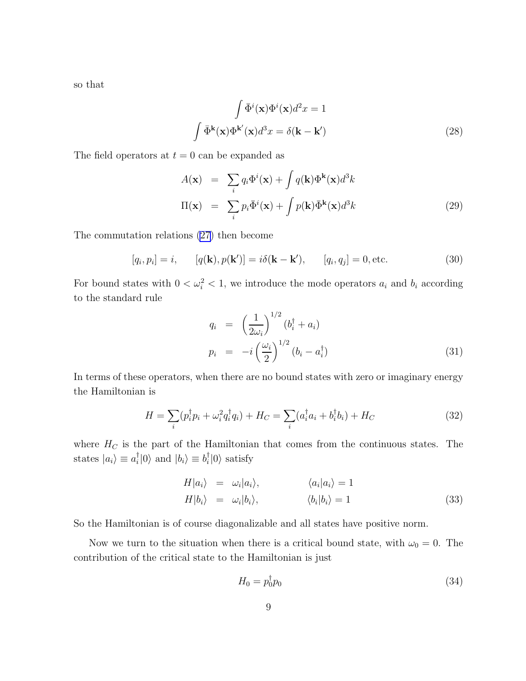<span id="page-9-0"></span>so that

$$
\int \bar{\Phi}^{i}(\mathbf{x}) \Phi^{i}(\mathbf{x}) d^{2}x = 1
$$

$$
\int \bar{\Phi}^{k}(\mathbf{x}) \Phi^{k'}(\mathbf{x}) d^{3}x = \delta(\mathbf{k} - \mathbf{k}')
$$
(28)

The field operators at  $t = 0$  can be expanded as

$$
A(\mathbf{x}) = \sum_{i} q_i \Phi^i(\mathbf{x}) + \int q(\mathbf{k}) \Phi^{\mathbf{k}}(\mathbf{x}) d^3 k
$$
  

$$
\Pi(\mathbf{x}) = \sum_{i} p_i \bar{\Phi}^i(\mathbf{x}) + \int p(\mathbf{k}) \bar{\Phi}^{\mathbf{k}}(\mathbf{x}) d^3 k
$$
(29)

The commutation relations [\(27\)](#page-8-0) then become

$$
[q_i, p_i] = i, \qquad [q(\mathbf{k}), p(\mathbf{k}')] = i\delta(\mathbf{k} - \mathbf{k}'), \qquad [q_i, q_j] = 0, \text{etc.}
$$
\n(30)

For bound states with  $0 < \omega_i^2 < 1$ , we introduce the mode operators  $a_i$  and  $b_i$  according to the standard rule

$$
q_i = \left(\frac{1}{2\omega_i}\right)^{1/2} (b_i^{\dagger} + a_i)
$$
  
\n
$$
p_i = -i \left(\frac{\omega_i}{2}\right)^{1/2} (b_i - a_i^{\dagger})
$$
\n(31)

In terms of these operators, when there are no bound states with zero or imaginary energy the Hamiltonian is

$$
H = \sum_{i} (p_i^{\dagger} p_i + \omega_i^2 q_i^{\dagger} q_i) + H_C = \sum_{i} (a_i^{\dagger} a_i + b_i^{\dagger} b_i) + H_C
$$
 (32)

where  $H_C$  is the part of the Hamiltonian that comes from the continuous states. The states  $|a_i\rangle \equiv a_i^{\dagger}$  $\binom{\dagger}{i}$  (0) and  $|b_i\rangle \equiv b_i^{\dagger}$  $_{i}^{\dagger}|0\rangle$  satisfy

$$
H|a_i\rangle = \omega_i|a_i\rangle, \qquad \langle a_i|a_i\rangle = 1H|b_i\rangle = \omega_i|b_i\rangle, \qquad \langle b_i|b_i\rangle = 1
$$
\n(33)

So the Hamiltonian is of course diagonalizable and all states have positive norm.

Now we turn to the situation when there is a critical bound state, with  $\omega_0 = 0$ . The contribution of the critical state to the Hamiltonian is just

$$
H_0 = p_0^{\dagger} p_0 \tag{34}
$$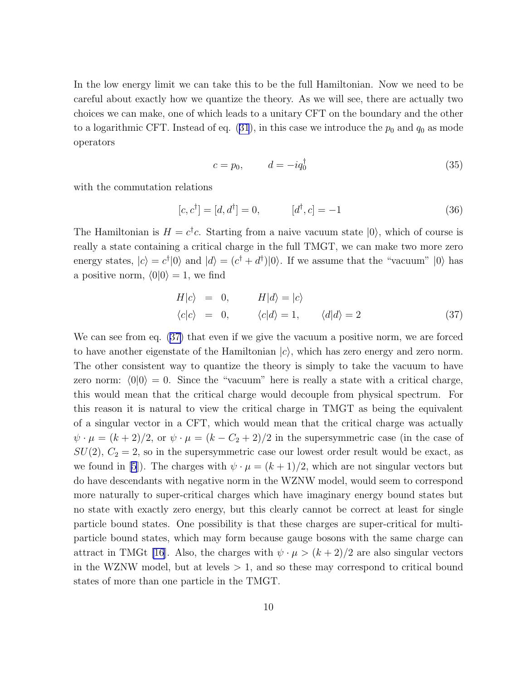<span id="page-10-0"></span>In the low energy limit we can take this to be the full Hamiltonian. Now we need to be careful about exactly how we quantize the theory. As we will see, there are actually two choices we can make, one of which leads to a unitary CFT on the boundary and the other toa logarithmic CFT. Instead of eq. ([31](#page-9-0)), in this case we introduce the  $p_0$  and  $q_0$  as mode operators

$$
c = p_0, \qquad d = -iq_0^{\dagger} \tag{35}
$$

with the commutation relations

$$
[c, c^{\dagger}] = [d, d^{\dagger}] = 0, \qquad [d^{\dagger}, c] = -1 \tag{36}
$$

The Hamiltonian is  $H = c^{\dagger}c$ . Starting from a naive vacuum state  $|0\rangle$ , which of course is really a state containing a critical charge in the full TMGT, we can make two more zero energy states,  $|c\rangle = c^{\dagger} |0\rangle$  and  $|d\rangle = (c^{\dagger} + d^{\dagger}) |0\rangle$ . If we assume that the "vacuum"  $|0\rangle$  has a positive norm,  $\langle 0|0 \rangle = 1$ , we find

$$
H|c\rangle = 0, \tH|d\rangle = |c\rangle
$$
  
\n
$$
\langle c|c\rangle = 0, \t\langle c|d\rangle = 1, \t\langle d|d\rangle = 2
$$
\n(37)

We can see from eq. (37) that even if we give the vacuum a positive norm, we are forced to have another eigenstate of the Hamiltonian  $|c\rangle$ , which has zero energy and zero norm. The other consistent way to quantize the theory is simply to take the vacuum to have zero norm:  $\langle 0|0 \rangle = 0$ . Since the "vacuum" here is really a state with a critical charge, this would mean that the critical charge would decouple from physical spectrum. For this reason it is natural to view the critical charge in TMGT as being the equivalent of a singular vector in a CFT, which would mean that the critical charge was actually  $\psi \cdot \mu = (k+2)/2$ , or  $\psi \cdot \mu = (k-C_2+2)/2$  in the supersymmetric case (in the case of  $SU(2)$ ,  $C_2 = 2$ , so in the supersymmetric case our lowest order result would be exact, as we found in [\[5](#page-13-0)]). The charges with  $\psi \cdot \mu = (k+1)/2$ , which are not singular vectors but do have descendants with negative norm in the WZNW model, would seem to correspond more naturally to super-critical charges which have imaginary energy bound states but no state with exactly zero energy, but this clearly cannot be correct at least for single particle bound states. One possibility is that these charges are super-critical for multiparticle bound states, which may form because gauge bosons with the same charge can attract in TMGt [\[16](#page-13-0)]. Also, the charges with  $\psi \cdot \mu > (k+2)/2$  are also singular vectors in the WZNW model, but at levels  $> 1$ , and so these may correspond to critical bound states of more than one particle in the TMGT.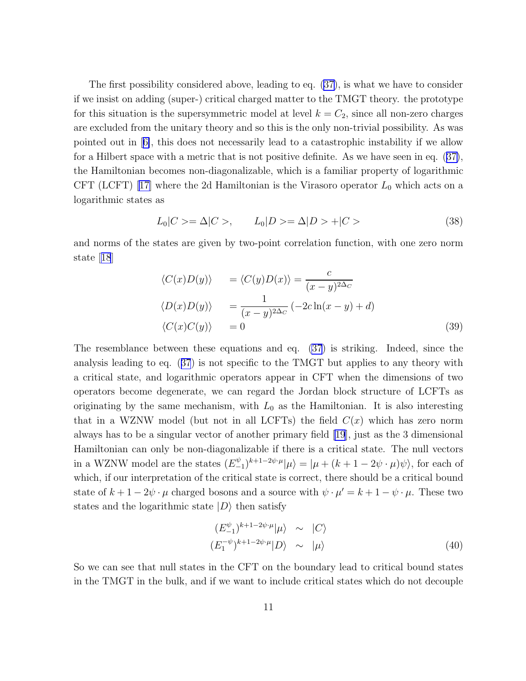The first possibility considered above, leading to eq. [\(37\)](#page-10-0), is what we have to consider if we insist on adding (super-) critical charged matter to the TMGT theory. the prototype for this situation is the supersymmetric model at level  $k = C_2$ , since all non-zero charges are excluded from the unitary theory and so this is the only non-trivial possibility. As was pointed out in[[6\]](#page-13-0), this does not necessarily lead to a catastrophic instability if we allow for a Hilbert space with a metric that is not positive definite. As we have seen in eq.([37\)](#page-10-0), the Hamiltonian becomes non-diagonalizable, which is a familiar property of logarithmic CFT (LCFT) [\[17\]](#page-14-0) where the 2d Hamiltonian is the Virasoro operator  $L_0$  which acts on a logarithmic states as

$$
L_0|C\rangle = \Delta|C\rangle, \qquad L_0|D\rangle = \Delta|D\rangle + |C\rangle \tag{38}
$$

and norms of the states are given by two-point correlation function, with one zero norm state[[18](#page-14-0)]

$$
\langle C(x)D(y) \rangle = \langle C(y)D(x) \rangle = \frac{c}{(x-y)^{2\Delta_C}}
$$
  

$$
\langle D(x)D(y) \rangle = \frac{1}{(x-y)^{2\Delta_C}}(-2c\ln(x-y) + d)
$$
  

$$
\langle C(x)C(y) \rangle = 0
$$
 (39)

The resemblance between these equations and eq. [\(37](#page-10-0)) is striking. Indeed, since the analysis leading to eq.([37](#page-10-0)) is not specific to the TMGT but applies to any theory with a critical state, and logarithmic operators appear in CFT when the dimensions of two operators become degenerate, we can regard the Jordan block structure of LCFTs as originating by the same mechanism, with  $L_0$  as the Hamiltonian. It is also interesting that in a WZNW model (but not in all LCFTs) the field  $C(x)$  which has zero norm always has to be a singular vector of another primary field [\[19](#page-14-0)], just as the 3 dimensional Hamiltonian can only be non-diagonalizable if there is a critical state. The null vectors in a WZNW model are the states  $(E_{-}^{\psi})$  $\binom{\psi}{-1}^{k+1-2\psi\cdot\mu}|\mu\rangle = |\mu + (k+1-2\psi\cdot\mu)\psi\rangle$ , for each of which, if our interpretation of the critical state is correct, there should be a critical bound state of  $k + 1 - 2\psi \cdot \mu$  charged bosons and a source with  $\psi \cdot \mu' = k + 1 - \psi \cdot \mu$ . These two states and the logarithmic state  $|D\rangle$  then satisfy

$$
(E_{-1}^{\psi})^{k+1-2\psi\cdot\mu}|\mu\rangle \sim |C\rangle
$$
  

$$
(E_{1}^{-\psi})^{k+1-2\psi\cdot\mu}|D\rangle \sim |\mu\rangle
$$
 (40)

So we can see that null states in the CFT on the boundary lead to critical bound states in the TMGT in the bulk, and if we want to include critical states which do not decouple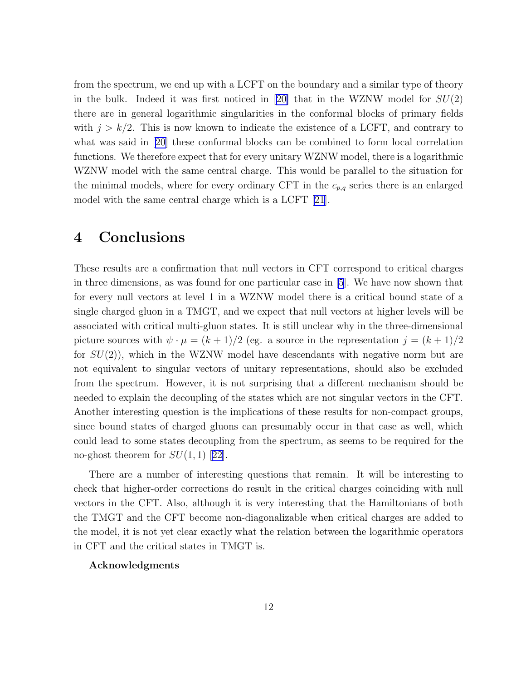from the spectrum, we end up with a LCFT on the boundary and a similar type of theory inthe bulk. Indeed it was first noticed in [[20\]](#page-14-0) that in the WZNW model for  $SU(2)$ there are in general logarithmic singularities in the conformal blocks of primary fields with  $j > k/2$ . This is now known to indicate the existence of a LCFT, and contrary to what was said in[[20\]](#page-14-0) these conformal blocks can be combined to form local correlation functions. We therefore expect that for every unitary WZNW model, there is a logarithmic WZNW model with the same central charge. This would be parallel to the situation for the minimal models, where for every ordinary CFT in the  $c_{p,q}$  series there is an enlarged model with the same central charge which is a LCFT [\[21](#page-14-0)].

### 4 Conclusions

These results are a confirmation that null vectors in CFT correspond to critical charges in three dimensions, as was found for one particular case in [\[5](#page-13-0)]. We have now shown that for every null vectors at level 1 in a WZNW model there is a critical bound state of a single charged gluon in a TMGT, and we expect that null vectors at higher levels will be associated with critical multi-gluon states. It is still unclear why in the three-dimensional picture sources with  $\psi \cdot \mu = (k+1)/2$  (eg. a source in the representation  $j = (k+1)/2$ for  $SU(2)$ , which in the WZNW model have descendants with negative norm but are not equivalent to singular vectors of unitary representations, should also be excluded from the spectrum. However, it is not surprising that a different mechanism should be needed to explain the decoupling of the states which are not singular vectors in the CFT. Another interesting question is the implications of these results for non-compact groups, since bound states of charged gluons can presumably occur in that case as well, which could lead to some states decoupling from the spectrum, as seems to be required for the no-ghost theorem for  $SU(1,1)$  [\[22\]](#page-14-0).

There are a number of interesting questions that remain. It will be interesting to check that higher-order corrections do result in the critical charges coinciding with null vectors in the CFT. Also, although it is very interesting that the Hamiltonians of both the TMGT and the CFT become non-diagonalizable when critical charges are added to the model, it is not yet clear exactly what the relation between the logarithmic operators in CFT and the critical states in TMGT is.

#### Acknowledgments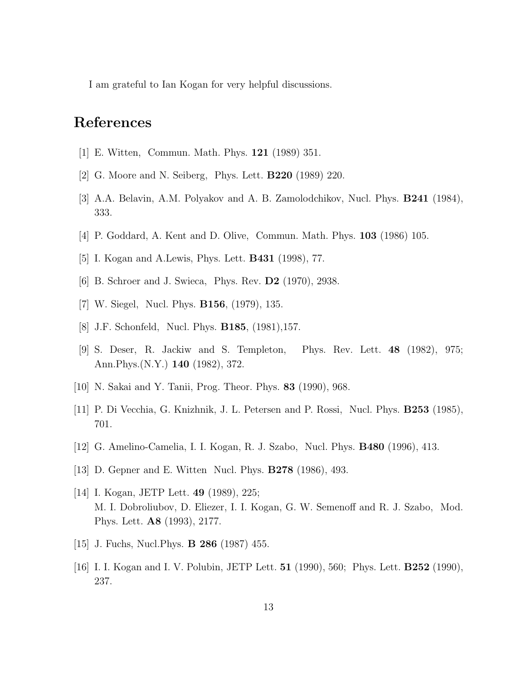<span id="page-13-0"></span>I am grateful to Ian Kogan for very helpful discussions.

## References

- [1] E. Witten, Commun. Math. Phys. 121 (1989) 351.
- [2] G. Moore and N. Seiberg, Phys. Lett. B220 (1989) 220.
- [3] A.A. Belavin, A.M. Polyakov and A. B. Zamolodchikov, Nucl. Phys. B241 (1984), 333.
- [4] P. Goddard, A. Kent and D. Olive, Commun. Math. Phys. 103 (1986) 105.
- [5] I. Kogan and A.Lewis, Phys. Lett. B431 (1998), 77.
- [6] B. Schroer and J. Swieca, Phys. Rev. D2 (1970), 2938.
- [7] W. Siegel, Nucl. Phys. B156, (1979), 135.
- [8] J.F. Schonfeld, Nucl. Phys. B185, (1981),157.
- [9] S. Deser, R. Jackiw and S. Templeton, Phys. Rev. Lett. 48 (1982), 975; Ann.Phys.(N.Y.) 140 (1982), 372.
- [10] N. Sakai and Y. Tanii, Prog. Theor. Phys. 83 (1990), 968.
- [11] P. Di Vecchia, G. Knizhnik, J. L. Petersen and P. Rossi, Nucl. Phys. B253 (1985), 701.
- [12] G. Amelino-Camelia, I. I. Kogan, R. J. Szabo, Nucl. Phys. B480 (1996), 413.
- [13] D. Gepner and E. Witten Nucl. Phys. B278 (1986), 493.
- [14] I. Kogan, JETP Lett. **49** (1989), 225; M. I. Dobroliubov, D. Eliezer, I. I. Kogan, G. W. Semenoff and R. J. Szabo, Mod. Phys. Lett. A8 (1993), 2177.
- [15] J. Fuchs, Nucl.Phys. B 286 (1987) 455.
- [16] I. I. Kogan and I. V. Polubin, JETP Lett. **51** (1990), 560; Phys. Lett. **B252** (1990), 237.